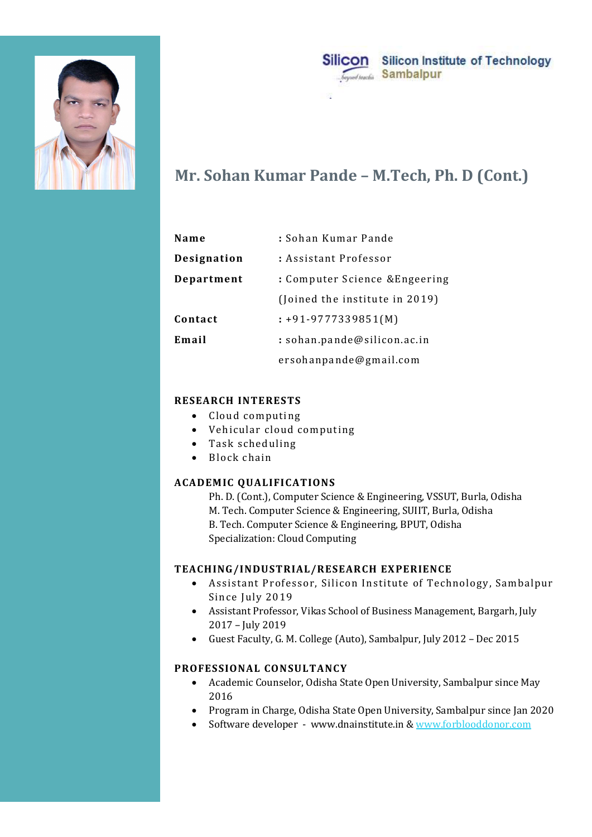



# Mr. Sohan Kumar Pande – M.Tech, Ph. D (Cont.)

| Name        | : Sohan Kumar Pande            |
|-------------|--------------------------------|
| Designation | : Assistant Professor          |
| Department  | : Computer Science &Engeering  |
|             | (Joined the institute in 2019) |
| Contact     | $: +91 - 9777339851(M)$        |
| Email       | : sohan.pande@silicon.ac.in    |
|             | ersohanpande@gmail.com         |

### RESEARCH INTERESTS

- Cloud computing
- Vehicular cloud computing
- Task scheduling
- Block chain

## ACADEMIC QUALIFICATIONS

Ph. D. (Cont.), Computer Science & Engineering, VSSUT, Burla, Odisha M. Tech. Computer Science & Engineering, SUIIT, Burla, Odisha B. Tech. Computer Science & Engineering, BPUT, Odisha Specialization: Cloud Computing • Cloud computing<br>• Task scheduling<br>• Hock chain<br>• Block chain<br>• Block chain<br>• CQALIFICATIONS<br>• PR. D. (Cortl.), Computer Science & Engineering, VSSUT, Burla, Odisha<br>• M. Tech. Computer Science & Engineering, SPUT, Odis

### TEACHING/INDUSTRIAL/RESEARCH EXPERIENCE

- Assistant Professor, Silicon Institute of Technology, Sambalpur Since July 2019
- Assistant Professor, Vikas School of Business Management, Bargarh, July 2017 – July 2019
- Guest Faculty, G. M. College (Auto), Sambalpur, July 2012 Dec 2015

- 2016
- Program in Charge, Odisha State Open University, Sambalpur since Jan 2020
- Software developer www.dnainstitute.in & www.forblooddonor.com